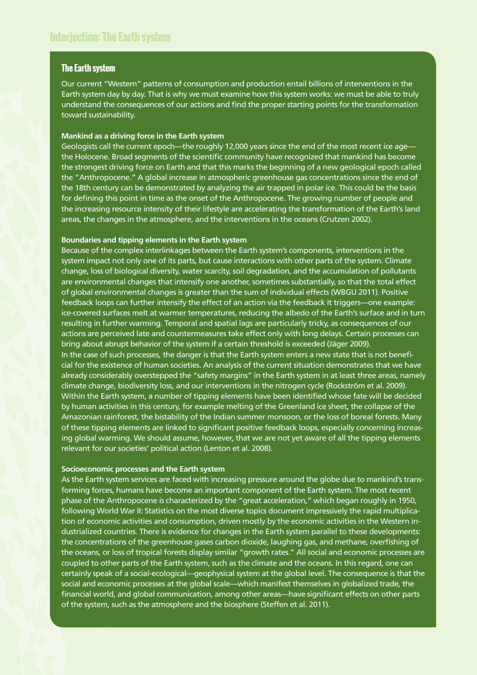## **The Earth system**

Our current "Western" patterns of consumption and production entail billions of interventions in the Earth system day by day. That is why we must examine how this system works: we must be able to truly understand the consequences of our actions and find the proper starting points for the transformation toward sustainability.

## **Mankind as a driving force in the Earth system**

Geologists call the current epoch—the roughly 12,000 years since the end of the most recent ice age the Holocene. Broad segments of the scientific community have recognized that mankind has become the strongest driving force on Earth and that this marks the beginning of a new geological epoch called the "Anthropocene." A global increase in atmospheric greenhouse gas concentrations since the end of the 18th century can be demonstrated by analyzing the air trapped in polar ice. This could be the basis for defining this point in time as the onset of the Anthropocene. The growing number of people and the increasing resource intensity of their lifestyle are accelerating the transformation of the Earth's land areas, the changes in the atmosphere, and the interventions in the oceans (Crutzen 2002).

## **Boundaries and tipping elements in the Earth system**

Because of the complex interlinkages between the Earth system's components, interventions in the system impact not only one of its parts, but cause interactions with other parts of the system. Climate change, loss of biological diversity, water scarcity, soil degradation, and the accumulation of pollutants are environmental changes that intensify one another, sometimes substantially, so that the total effect of global environmental changes is greater than the sum of individual effects (WBGU 2011). Positive feedback loops can further intensify the effect of an action via the feedback it triggers—one example: ice-covered surfaces melt at warmer temperatures, reducing the albedo of the Earth's surface and in turn resulting in further warming. Temporal and spatial lags are particularly tricky, as consequences of our actions are perceived late and countermeasures take effect only with long delays. Certain processes can bring about abrupt behavior of the system if a certain threshold is exceeded (Jäger 2009). In the case of such processes, the danger is that the Earth system enters a new state that is not beneficial for the existence of human societies. An analysis of the current situation demonstrates that we have already considerably overstepped the "safety margins" in the Earth system in at least three areas, namely climate change, biodiversity loss, and our interventions in the nitrogen cycle (Rockström et al. 2009). Within the Earth system, a number of tipping elements have been identified whose fate will be decided by human activities in this century, for example melting of the Greenland ice sheet, the collapse of the Amazonian rainforest, the bistability of the Indian summer monsoon, or the loss of boreal forests. Many of these tipping elements are linked to significant positive feedback loops, especially concerning increasing global warming. We should assume, however, that we are not yet aware of all the tipping elements relevant for our societies' political action (Lenton et al. 2008).

## **Socioeconomic processes and the Earth system**

As the Earth system services are faced with increasing pressure around the globe due to mankind's transforming forces, humans have become an important component of the Earth system. The most recent phase of the Anthropocene is characterized by the "great acceleration," which began roughly in 1950, following World War II: Statistics on the most diverse topics document impressively the rapid multiplication of economic activities and consumption, driven mostly by the economic activities in the Western industrialized countries. There is evidence for changes in the Earth system parallel to these developments: the concentrations of the greenhouse gases carbon dioxide, laughing gas, and methane, overfishing of the oceans, or loss of tropical forests display similar "growth rates." All social and economic processes are coupled to other parts of the Earth system, such as the climate and the oceans. In this regard, one can certainly speak of a social-ecological—geophysical system at the global level. The consequence is that the social and economic processes at the global scale—which manifest themselves in globalized trade, the financial world, and global communication, among other areas—have significant effects on other parts of the system, such as the atmosphere and the biosphere (Steffen et al. 2011).

2015 2014 2013 2011 2012 2010 2009 2008 2007 2006 2003 2005 2002 2004